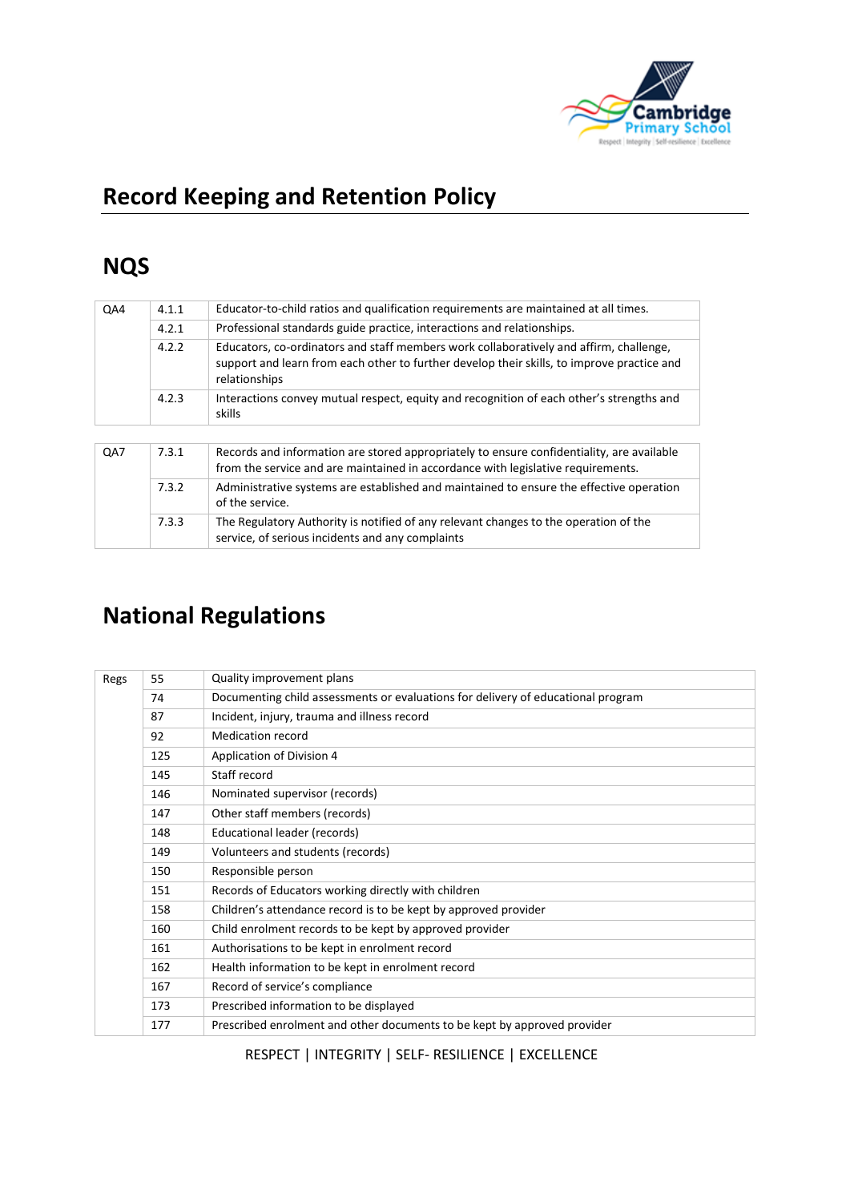

# **Record Keeping and Retention Policy**

# **NQS**

| QA4 | 4.1.1 | Educator-to-child ratios and qualification requirements are maintained at all times.                                                                                                                  |  |  |
|-----|-------|-------------------------------------------------------------------------------------------------------------------------------------------------------------------------------------------------------|--|--|
|     | 4.2.1 | Professional standards guide practice, interactions and relationships.                                                                                                                                |  |  |
|     | 4.2.2 | Educators, co-ordinators and staff members work collaboratively and affirm, challenge,<br>support and learn from each other to further develop their skills, to improve practice and<br>relationships |  |  |
|     | 4.2.3 | Interactions convey mutual respect, equity and recognition of each other's strengths and<br>skills                                                                                                    |  |  |
|     |       |                                                                                                                                                                                                       |  |  |
| QA7 | 7.3.1 | Records and information are stored appropriately to ensure confidentiality, are available<br>from the service and are maintained in accordance with legislative requirements.                         |  |  |
|     | 7.3.2 | Administrative systems are established and maintained to ensure the effective operation<br>of the service.                                                                                            |  |  |
|     | 7.3.3 | The Regulatory Authority is notified of any relevant changes to the operation of the<br>service, of serious incidents and any complaints                                                              |  |  |

# **National Regulations**

| Regs | 55  | Quality improvement plans                                                        |
|------|-----|----------------------------------------------------------------------------------|
|      | 74  | Documenting child assessments or evaluations for delivery of educational program |
|      | 87  | Incident, injury, trauma and illness record                                      |
|      | 92  | Medication record                                                                |
|      | 125 | Application of Division 4                                                        |
|      | 145 | Staff record                                                                     |
|      | 146 | Nominated supervisor (records)                                                   |
|      | 147 | Other staff members (records)                                                    |
|      | 148 | Educational leader (records)                                                     |
|      | 149 | Volunteers and students (records)                                                |
|      | 150 | Responsible person                                                               |
|      | 151 | Records of Educators working directly with children                              |
|      | 158 | Children's attendance record is to be kept by approved provider                  |
|      | 160 | Child enrolment records to be kept by approved provider                          |
|      | 161 | Authorisations to be kept in enrolment record                                    |
|      | 162 | Health information to be kept in enrolment record                                |
|      | 167 | Record of service's compliance                                                   |
|      | 173 | Prescribed information to be displayed                                           |
|      | 177 | Prescribed enrolment and other documents to be kept by approved provider         |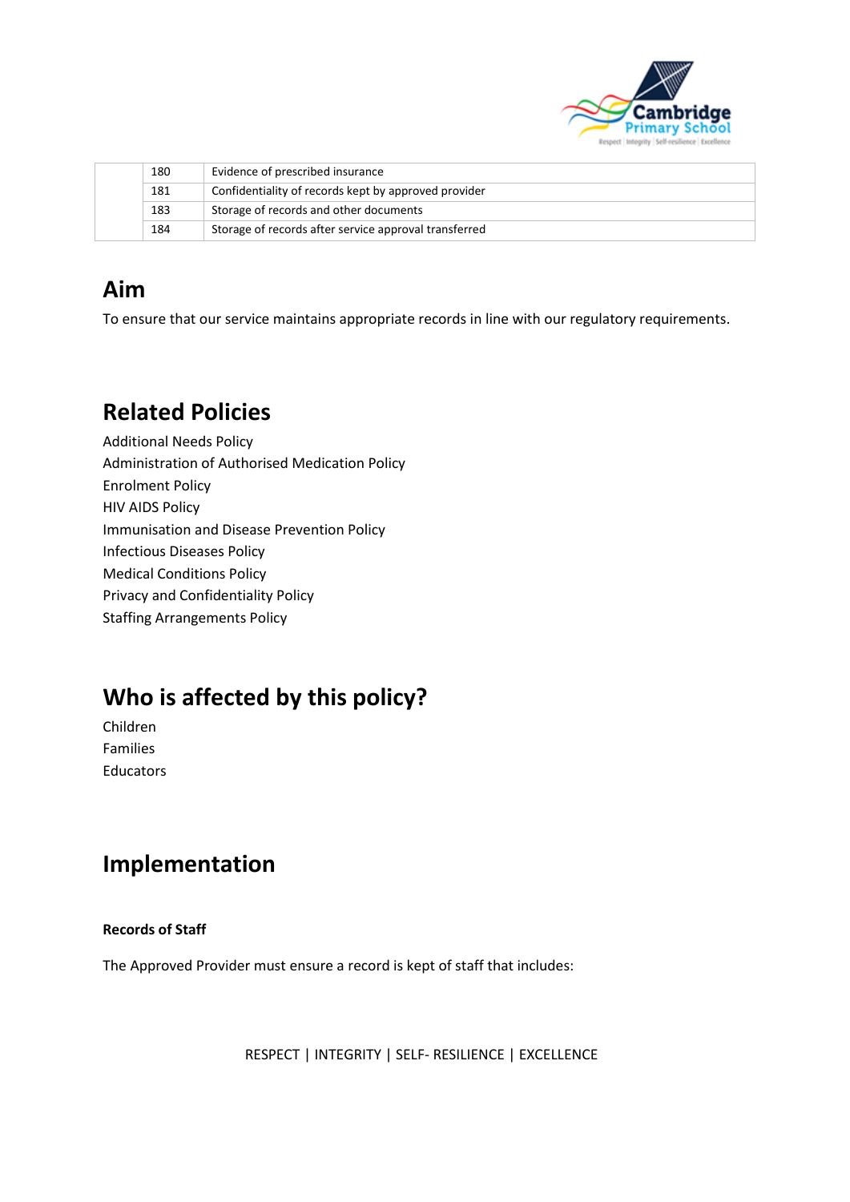

|  | 180 | Evidence of prescribed insurance                      |
|--|-----|-------------------------------------------------------|
|  | 181 | Confidentiality of records kept by approved provider  |
|  | 183 | Storage of records and other documents                |
|  | 184 | Storage of records after service approval transferred |

### **Aim**

To ensure that our service maintains appropriate records in line with our regulatory requirements.

## **Related Policies**

Additional Needs Policy Administration of Authorised Medication Policy Enrolment Policy HIV AIDS Policy Immunisation and Disease Prevention Policy Infectious Diseases Policy Medical Conditions Policy Privacy and Confidentiality Policy Staffing Arrangements Policy

# **Who is affected by this policy?**

Children Families Educators

### **Implementation**

#### **Records of Staff**

The Approved Provider must ensure a record is kept of staff that includes: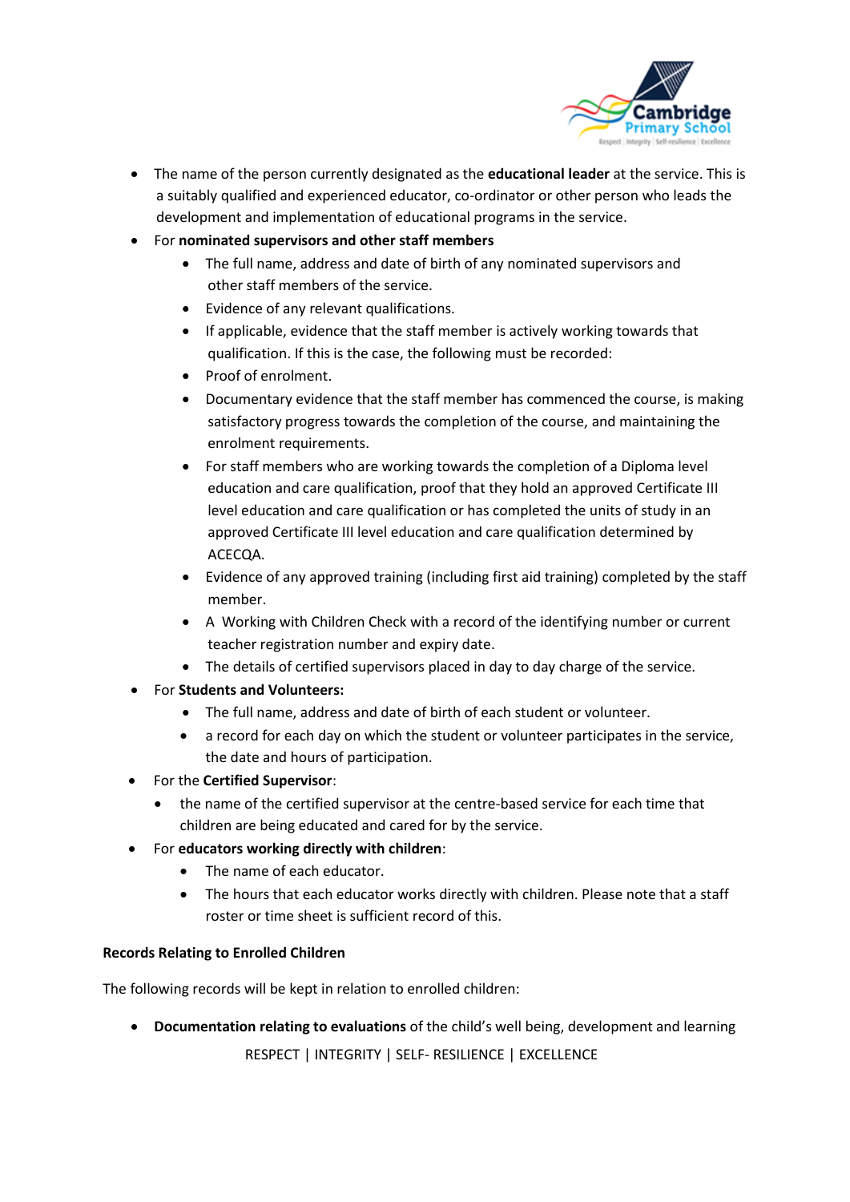

- The name of the person currently designated as the **educational leader** at the service. This is a suitably qualified and experienced educator, co-ordinator or other person who leads the development and implementation of educational programs in the service.
- For **nominated supervisors and other staff members**
	- The full name, address and date of birth of any nominated supervisors and other staff members of the service.
	- Evidence of any relevant qualifications.
	- If applicable, evidence that the staff member is actively working towards that qualification. If this is the case, the following must be recorded:
	- Proof of enrolment.
	- Documentary evidence that the staff member has commenced the course, is making satisfactory progress towards the completion of the course, and maintaining the enrolment requirements.
	- For staff members who are working towards the completion of a Diploma level education and care qualification, proof that they hold an approved Certificate III level education and care qualification or has completed the units of study in an approved Certificate III level education and care qualification determined by ACECQA.
	- Evidence of any approved training (including first aid training) completed by the staff member.
	- A Working with Children Check with a record of the identifying number or current teacher registration number and expiry date.
	- The details of certified supervisors placed in day to day charge of the service.
- For **Students and Volunteers:**
	- The full name, address and date of birth of each student or volunteer.
	- a record for each day on which the student or volunteer participates in the service, the date and hours of participation.
- For the **Certified Supervisor**:
	- the name of the certified supervisor at the centre-based service for each time that children are being educated and cared for by the service.
- For **educators working directly with children**:
	- The name of each educator.
	- The hours that each educator works directly with children. Please note that a staff roster or time sheet is sufficient record of this.

#### **Records Relating to Enrolled Children**

The following records will be kept in relation to enrolled children:

 RESPECT | INTEGRITY | SELF- RESILIENCE | EXCELLENCE • **Documentation relating to evaluations** of the child's well being, development and learning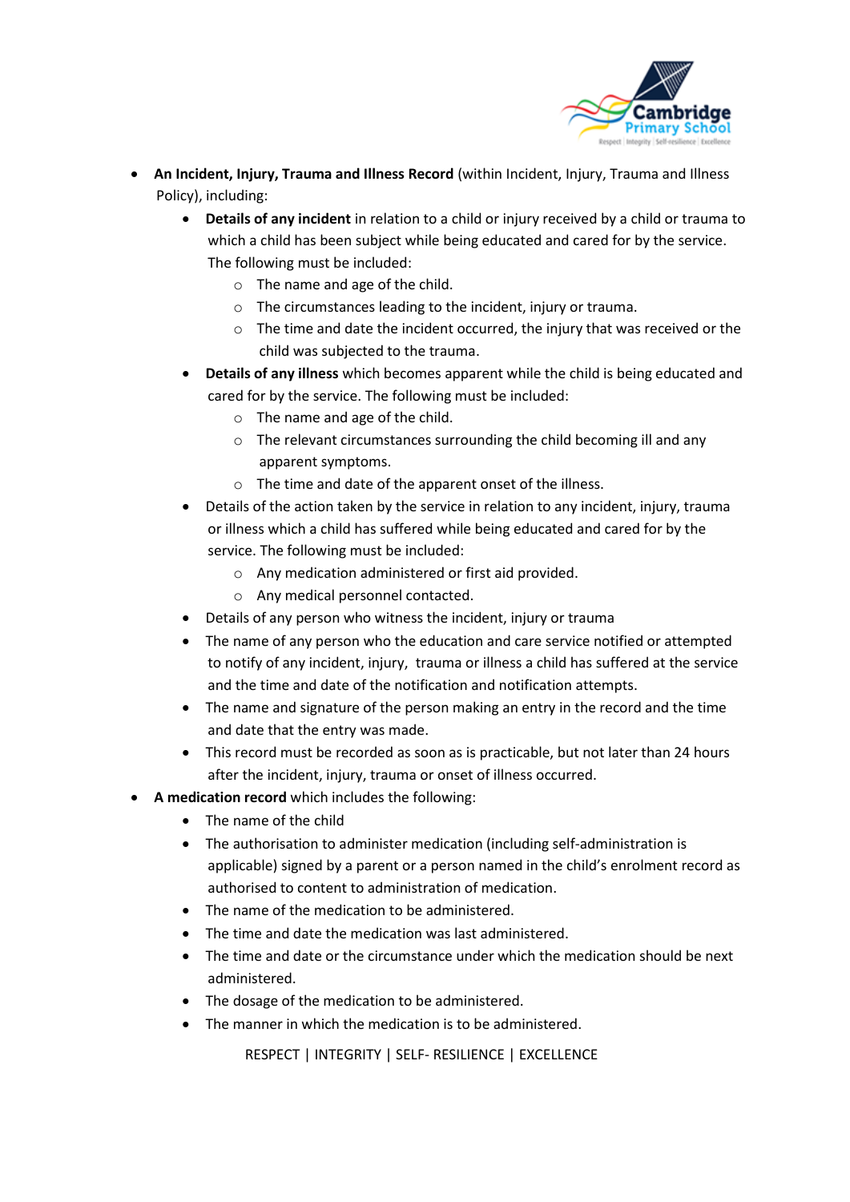

- **An Incident, Injury, Trauma and Illness Record** (within Incident, Injury, Trauma and Illness Policy), including:
	- **Details of any incident** in relation to a child or injury received by a child or trauma to which a child has been subject while being educated and cared for by the service. The following must be included:
		- o The name and age of the child.
		- o The circumstances leading to the incident, injury or trauma.
		- o The time and date the incident occurred, the injury that was received or the child was subjected to the trauma.
	- **Details of any illness** which becomes apparent while the child is being educated and cared for by the service. The following must be included:
		- o The name and age of the child.
		- o The relevant circumstances surrounding the child becoming ill and any apparent symptoms.
		- o The time and date of the apparent onset of the illness.
	- Details of the action taken by the service in relation to any incident, injury, trauma or illness which a child has suffered while being educated and cared for by the service. The following must be included:
		- o Any medication administered or first aid provided.
		- o Any medical personnel contacted.
	- Details of any person who witness the incident, injury or trauma
	- The name of any person who the education and care service notified or attempted to notify of any incident, injury, trauma or illness a child has suffered at the service and the time and date of the notification and notification attempts.
	- The name and signature of the person making an entry in the record and the time and date that the entry was made.
	- This record must be recorded as soon as is practicable, but not later than 24 hours after the incident, injury, trauma or onset of illness occurred.
	- **A medication record** which includes the following:
		- The name of the child
		- The authorisation to administer medication (including self-administration is applicable) signed by a parent or a person named in the child's enrolment record as authorised to content to administration of medication.
		- The name of the medication to be administered.
		- The time and date the medication was last administered.
		- The time and date or the circumstance under which the medication should be next administered.
		- The dosage of the medication to be administered.
		- The manner in which the medication is to be administered.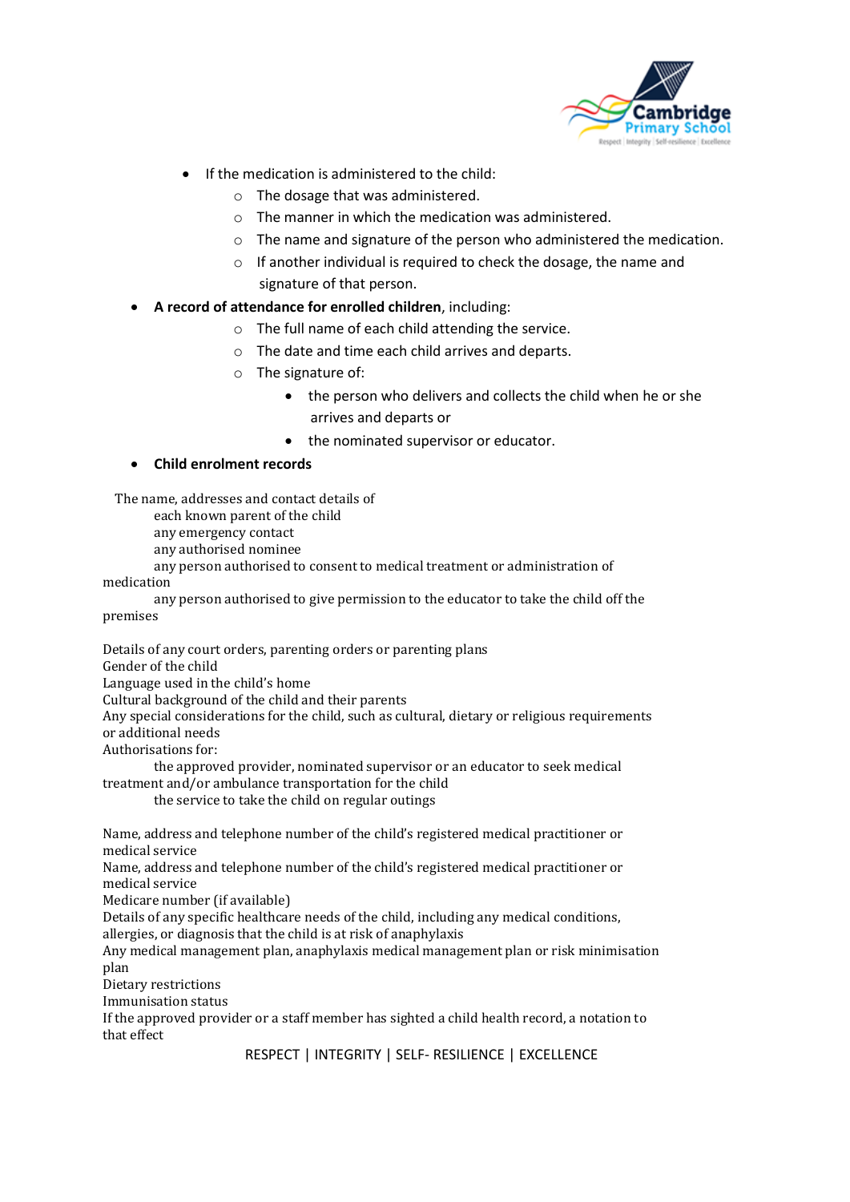

- If the medication is administered to the child:
	- o The dosage that was administered.
	- o The manner in which the medication was administered.
	- o The name and signature of the person who administered the medication.
	- o If another individual is required to check the dosage, the name and signature of that person.
- **A record of attendance for enrolled children**, including:
	- o The full name of each child attending the service.
	- o The date and time each child arrives and departs.
	- o The signature of:
		- the person who delivers and collects the child when he or she arrives and departs or
		- the nominated supervisor or educator.

#### • **Child enrolment records**

The name, addresses and contact details of

each known parent of the child

any emergency contact

any authorised nominee

any person authorised to consent to medical treatment or administration of

medication

any person authorised to give permission to the educator to take the child off the premises

Details of any court orders, parenting orders or parenting plans

Gender of the child

Language used in the child's home

Cultural background of the child and their parents

Any special considerations for the child, such as cultural, dietary or religious requirements or additional needs

Authorisations for:

the approved provider, nominated supervisor or an educator to seek medical treatment and/or ambulance transportation for the child

the service to take the child on regular outings

Name, address and telephone number of the child's registered medical practitioner or medical service

Name, address and telephone number of the child's registered medical practitioner or medical service

Medicare number (if available)

Details of any specific healthcare needs of the child, including any medical conditions, allergies, or diagnosis that the child is at risk of anaphylaxis

Any medical management plan, anaphylaxis medical management plan or risk minimisation plan

Dietary restrictions

Immunisation status

If the approved provider or a staff member has sighted a child health record, a notation to that effect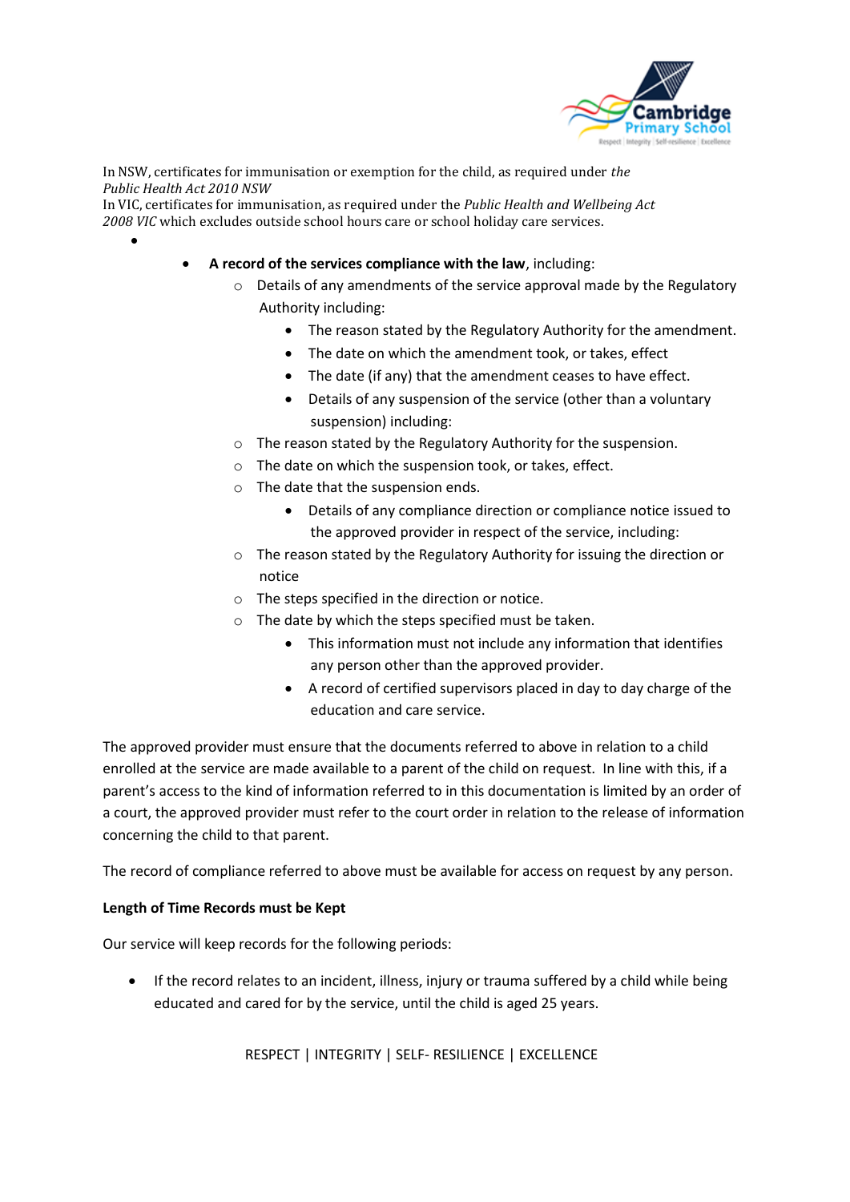

In NSW, certificates for immunisation or exemption for the child, as required under *the Public Health Act 2010 NSW* 

In VIC, certificates for immunisation, as required under the *Public Health and Wellbeing Act 2008 VIC* which excludes outside school hours care or school holiday care services.

- **A record of the services compliance with the law**, including:
	- o Details of any amendments of the service approval made by the Regulatory Authority including:
		- The reason stated by the Regulatory Authority for the amendment.
		- The date on which the amendment took, or takes, effect
		- The date (if any) that the amendment ceases to have effect.
		- Details of any suspension of the service (other than a voluntary suspension) including:
	- o The reason stated by the Regulatory Authority for the suspension.
	- o The date on which the suspension took, or takes, effect.
	- o The date that the suspension ends.
		- Details of any compliance direction or compliance notice issued to the approved provider in respect of the service, including:
	- o The reason stated by the Regulatory Authority for issuing the direction or notice
	- o The steps specified in the direction or notice.
	- o The date by which the steps specified must be taken.
		- This information must not include any information that identifies any person other than the approved provider.
		- A record of certified supervisors placed in day to day charge of the education and care service.

The approved provider must ensure that the documents referred to above in relation to a child enrolled at the service are made available to a parent of the child on request. In line with this, if a parent's access to the kind of information referred to in this documentation is limited by an order of a court, the approved provider must refer to the court order in relation to the release of information concerning the child to that parent.

The record of compliance referred to above must be available for access on request by any person.

#### **Length of Time Records must be Kept**

•

Our service will keep records for the following periods:

• If the record relates to an incident, illness, injury or trauma suffered by a child while being educated and cared for by the service, until the child is aged 25 years.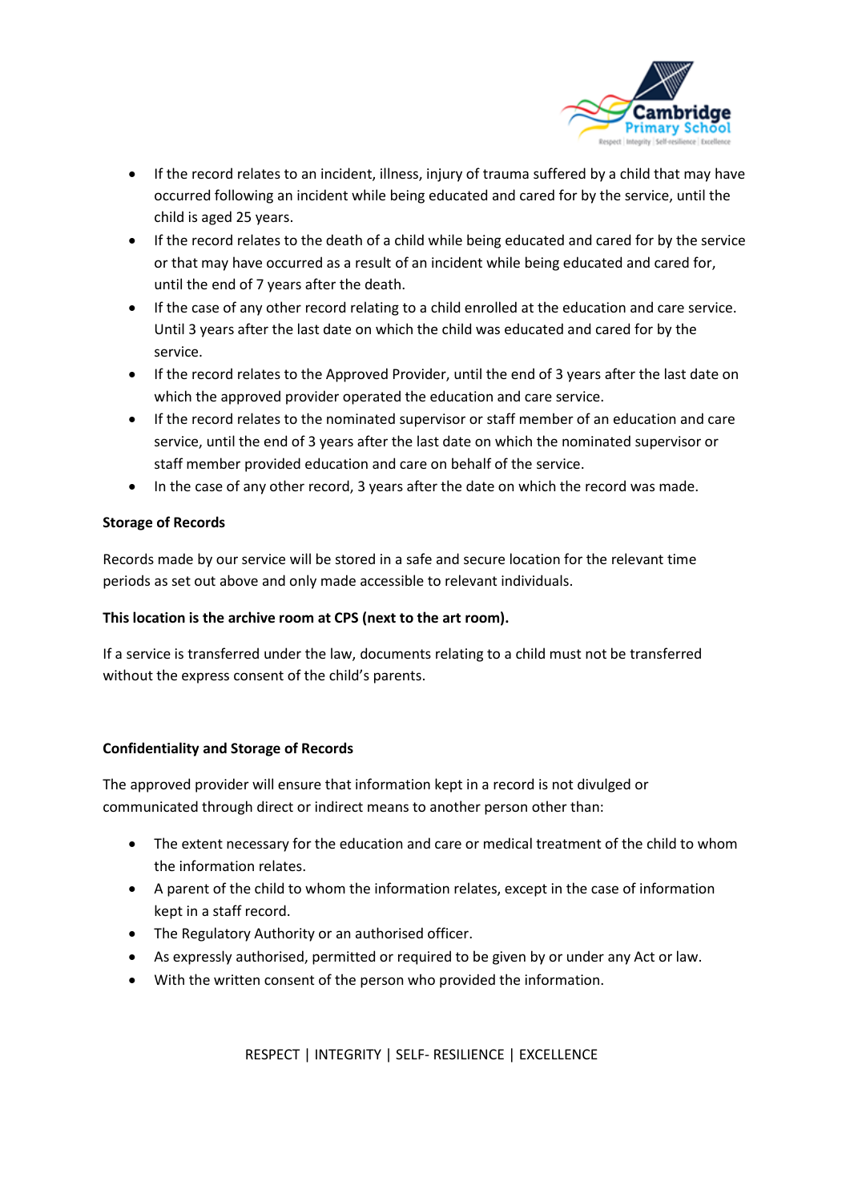

- If the record relates to an incident, illness, injury of trauma suffered by a child that may have occurred following an incident while being educated and cared for by the service, until the child is aged 25 years.
- If the record relates to the death of a child while being educated and cared for by the service or that may have occurred as a result of an incident while being educated and cared for, until the end of 7 years after the death.
- If the case of any other record relating to a child enrolled at the education and care service. Until 3 years after the last date on which the child was educated and cared for by the service.
- If the record relates to the Approved Provider, until the end of 3 years after the last date on which the approved provider operated the education and care service.
- If the record relates to the nominated supervisor or staff member of an education and care service, until the end of 3 years after the last date on which the nominated supervisor or staff member provided education and care on behalf of the service.
- In the case of any other record, 3 years after the date on which the record was made.

#### **Storage of Records**

Records made by our service will be stored in a safe and secure location for the relevant time periods as set out above and only made accessible to relevant individuals.

#### **This location is the archive room at CPS (next to the art room).**

If a service is transferred under the law, documents relating to a child must not be transferred without the express consent of the child's parents.

#### **Confidentiality and Storage of Records**

The approved provider will ensure that information kept in a record is not divulged or communicated through direct or indirect means to another person other than:

- The extent necessary for the education and care or medical treatment of the child to whom the information relates.
- A parent of the child to whom the information relates, except in the case of information kept in a staff record.
- The Regulatory Authority or an authorised officer.
- As expressly authorised, permitted or required to be given by or under any Act or law.
- With the written consent of the person who provided the information.